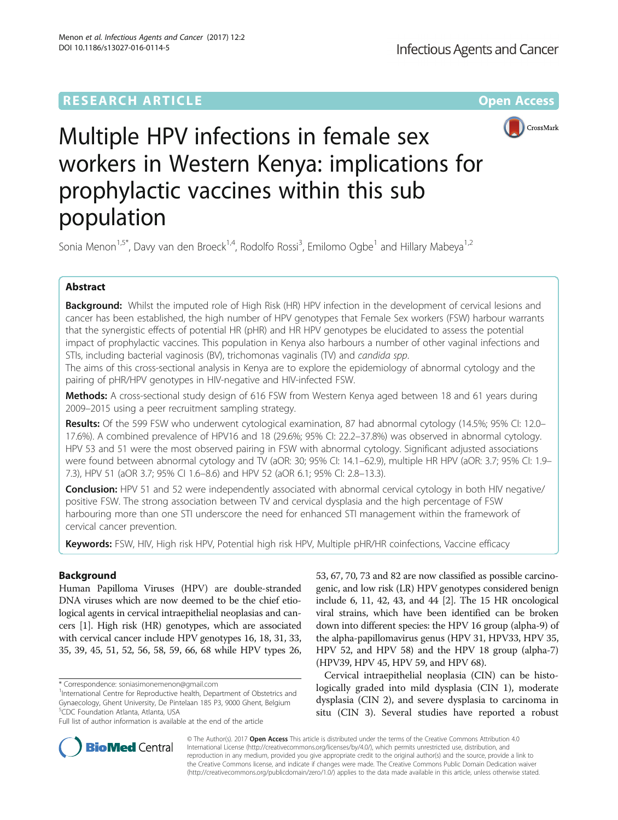# **RESEARCH ARTICLE External Structure Community Community Community Community Community Community Community Community**



# Multiple HPV infections in female sex workers in Western Kenya: implications for prophylactic vaccines within this sub population

Sonia Menon<sup>1,5\*</sup>, Davy van den Broeck<sup>1,4</sup>, Rodolfo Rossi<sup>3</sup>, Emilomo Ogbe<sup>1</sup> and Hillary Mabeya<sup>1,2</sup>

# Abstract

Background: Whilst the imputed role of High Risk (HR) HPV infection in the development of cervical lesions and cancer has been established, the high number of HPV genotypes that Female Sex workers (FSW) harbour warrants that the synergistic effects of potential HR (pHR) and HR HPV genotypes be elucidated to assess the potential impact of prophylactic vaccines. This population in Kenya also harbours a number of other vaginal infections and STIs, including bacterial vaginosis (BV), trichomonas vaginalis (TV) and candida spp.

The aims of this cross-sectional analysis in Kenya are to explore the epidemiology of abnormal cytology and the pairing of pHR/HPV genotypes in HIV-negative and HIV-infected FSW.

Methods: A cross-sectional study design of 616 FSW from Western Kenya aged between 18 and 61 years during 2009–2015 using a peer recruitment sampling strategy.

Results: Of the 599 FSW who underwent cytological examination, 87 had abnormal cytology (14.5%; 95% CI: 12.0– 17.6%). A combined prevalence of HPV16 and 18 (29.6%; 95% CI: 22.2–37.8%) was observed in abnormal cytology. HPV 53 and 51 were the most observed pairing in FSW with abnormal cytology. Significant adjusted associations were found between abnormal cytology and TV (aOR: 30; 95% CI: 14.1–62.9), multiple HR HPV (aOR: 3.7; 95% CI: 1.9– 7.3), HPV 51 (aOR 3.7; 95% CI 1.6–8.6) and HPV 52 (aOR 6.1; 95% CI: 2.8–13.3).

Conclusion: HPV 51 and 52 were independently associated with abnormal cervical cytology in both HIV negative/ positive FSW. The strong association between TV and cervical dysplasia and the high percentage of FSW harbouring more than one STI underscore the need for enhanced STI management within the framework of cervical cancer prevention.

Keywords: FSW, HIV, High risk HPV, Potential high risk HPV, Multiple pHR/HR coinfections, Vaccine efficacy

# Background

Human Papilloma Viruses (HPV) are double-stranded DNA viruses which are now deemed to be the chief etiological agents in cervical intraepithelial neoplasias and cancers [[1\]](#page-6-0). High risk (HR) genotypes, which are associated with cervical cancer include HPV genotypes 16, 18, 31, 33, 35, 39, 45, 51, 52, 56, 58, 59, 66, 68 while HPV types 26,

53, 67, 70, 73 and 82 are now classified as possible carcinogenic, and low risk (LR) HPV genotypes considered benign include 6, 11, 42, 43, and 44 [[2](#page-6-0)]. The 15 HR oncological viral strains, which have been identified can be broken down into different species: the HPV 16 group (alpha-9) of the alpha-papillomavirus genus (HPV 31, HPV33, HPV 35, HPV 52, and HPV 58) and the HPV 18 group (alpha-7) (HPV39, HPV 45, HPV 59, and HPV 68).

Cervical intraepithelial neoplasia (CIN) can be histologically graded into mild dysplasia (CIN 1), moderate dysplasia (CIN 2), and severe dysplasia to carcinoma in situ (CIN 3). Several studies have reported a robust



© The Author(s). 2017 **Open Access** This article is distributed under the terms of the Creative Commons Attribution 4.0 International License [\(http://creativecommons.org/licenses/by/4.0/](http://creativecommons.org/licenses/by/4.0/)), which permits unrestricted use, distribution, and reproduction in any medium, provided you give appropriate credit to the original author(s) and the source, provide a link to the Creative Commons license, and indicate if changes were made. The Creative Commons Public Domain Dedication waiver [\(http://creativecommons.org/publicdomain/zero/1.0/](http://creativecommons.org/publicdomain/zero/1.0/)) applies to the data made available in this article, unless otherwise stated.

<sup>\*</sup> Correspondence: [soniasimonemenon@gmail.com](mailto:soniasimonemenon@gmail.com) <sup>1</sup>

<sup>&</sup>lt;sup>1</sup>International Centre for Reproductive health, Department of Obstetrics and Gynaecology, Ghent University, De Pintelaan 185 P3, 9000 Ghent, Belgium 5 CDC Foundation Atlanta, Atlanta, USA

Full list of author information is available at the end of the article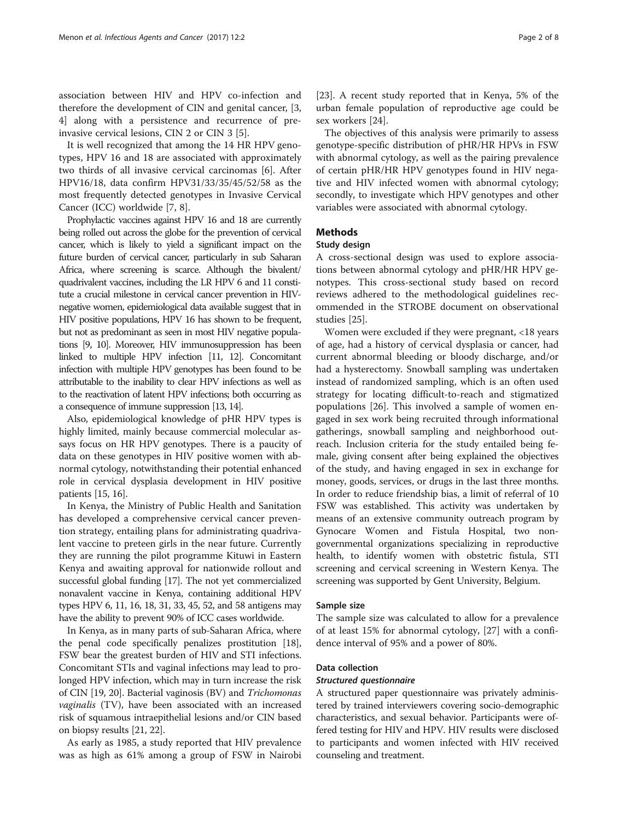association between HIV and HPV co-infection and therefore the development of CIN and genital cancer, [\[3](#page-6-0), [4\]](#page-6-0) along with a persistence and recurrence of preinvasive cervical lesions, CIN 2 or CIN 3 [\[5](#page-6-0)].

It is well recognized that among the 14 HR HPV genotypes, HPV 16 and 18 are associated with approximately two thirds of all invasive cervical carcinomas [\[6\]](#page-6-0). After HPV16/18, data confirm HPV31/33/35/45/52/58 as the most frequently detected genotypes in Invasive Cervical Cancer (ICC) worldwide [\[7, 8\]](#page-6-0).

Prophylactic vaccines against HPV 16 and 18 are currently being rolled out across the globe for the prevention of cervical cancer, which is likely to yield a significant impact on the future burden of cervical cancer, particularly in sub Saharan Africa, where screening is scarce. Although the bivalent/ quadrivalent vaccines, including the LR HPV 6 and 11 constitute a crucial milestone in cervical cancer prevention in HIVnegative women, epidemiological data available suggest that in HIV positive populations, HPV 16 has shown to be frequent, but not as predominant as seen in most HIV negative populations [\[9, 10\]](#page-6-0). Moreover, HIV immunosuppression has been linked to multiple HPV infection [\[11, 12](#page-6-0)]. Concomitant infection with multiple HPV genotypes has been found to be attributable to the inability to clear HPV infections as well as to the reactivation of latent HPV infections; both occurring as a consequence of immune suppression [\[13](#page-6-0), [14\]](#page-6-0).

Also, epidemiological knowledge of pHR HPV types is highly limited, mainly because commercial molecular assays focus on HR HPV genotypes. There is a paucity of data on these genotypes in HIV positive women with abnormal cytology, notwithstanding their potential enhanced role in cervical dysplasia development in HIV positive patients [[15, 16\]](#page-7-0).

In Kenya, the Ministry of Public Health and Sanitation has developed a comprehensive cervical cancer prevention strategy, entailing plans for administrating quadrivalent vaccine to preteen girls in the near future. Currently they are running the pilot programme Kituwi in Eastern Kenya and awaiting approval for nationwide rollout and successful global funding [\[17\]](#page-7-0). The not yet commercialized nonavalent vaccine in Kenya, containing additional HPV types HPV 6, 11, 16, 18, 31, 33, 45, 52, and 58 antigens may have the ability to prevent 90% of ICC cases worldwide.

In Kenya, as in many parts of sub-Saharan Africa, where the penal code specifically penalizes prostitution [[18](#page-7-0)], FSW bear the greatest burden of HIV and STI infections. Concomitant STIs and vaginal infections may lead to prolonged HPV infection, which may in turn increase the risk of CIN [\[19](#page-7-0), [20\]](#page-7-0). Bacterial vaginosis (BV) and Trichomonas vaginalis (TV), have been associated with an increased risk of squamous intraepithelial lesions and/or CIN based on biopsy results [[21, 22\]](#page-7-0).

As early as 1985, a study reported that HIV prevalence was as high as 61% among a group of FSW in Nairobi

[[23\]](#page-7-0). A recent study reported that in Kenya, 5% of the urban female population of reproductive age could be sex workers [\[24](#page-7-0)].

The objectives of this analysis were primarily to assess genotype-specific distribution of pHR/HR HPVs in FSW with abnormal cytology, as well as the pairing prevalence of certain pHR/HR HPV genotypes found in HIV negative and HIV infected women with abnormal cytology; secondly, to investigate which HPV genotypes and other variables were associated with abnormal cytology.

# Methods

# Study design

A cross-sectional design was used to explore associations between abnormal cytology and pHR/HR HPV genotypes. This cross-sectional study based on record reviews adhered to the methodological guidelines recommended in the STROBE document on observational studies [\[25\]](#page-7-0).

Women were excluded if they were pregnant, <18 years of age, had a history of cervical dysplasia or cancer, had current abnormal bleeding or bloody discharge, and/or had a hysterectomy. Snowball sampling was undertaken instead of randomized sampling, which is an often used strategy for locating difficult-to-reach and stigmatized populations [[26](#page-7-0)]. This involved a sample of women engaged in sex work being recruited through informational gatherings, snowball sampling and neighborhood outreach. Inclusion criteria for the study entailed being female, giving consent after being explained the objectives of the study, and having engaged in sex in exchange for money, goods, services, or drugs in the last three months. In order to reduce friendship bias, a limit of referral of 10 FSW was established. This activity was undertaken by means of an extensive community outreach program by Gynocare Women and Fistula Hospital, two nongovernmental organizations specializing in reproductive health, to identify women with obstetric fistula, STI screening and cervical screening in Western Kenya. The screening was supported by Gent University, Belgium.

# Sample size

The sample size was calculated to allow for a prevalence of at least 15% for abnormal cytology, [\[27\]](#page-7-0) with a confidence interval of 95% and a power of 80%.

# Data collection

# Structured questionnaire

A structured paper questionnaire was privately administered by trained interviewers covering socio-demographic characteristics, and sexual behavior. Participants were offered testing for HIV and HPV. HIV results were disclosed to participants and women infected with HIV received counseling and treatment.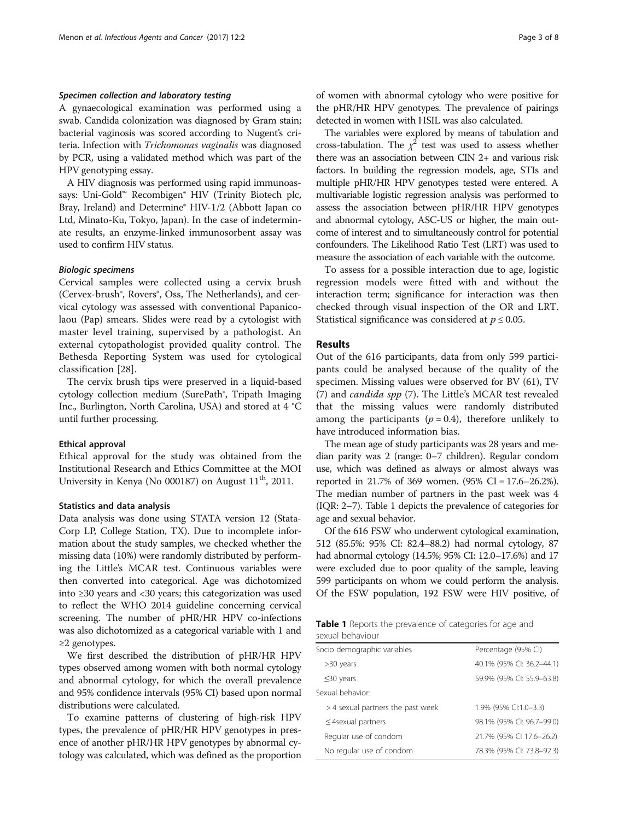## Specimen collection and laboratory testing

A gynaecological examination was performed using a swab. Candida colonization was diagnosed by Gram stain; bacterial vaginosis was scored according to Nugent's criteria. Infection with Trichomonas vaginalis was diagnosed by PCR, using a validated method which was part of the HPV genotyping essay.

A HIV diagnosis was performed using rapid immunoassays: Uni-Gold™ Recombigen® HIV (Trinity Biotech plc, Bray, Ireland) and Determine® HIV-1/2 (Abbott Japan co Ltd, Minato-Ku, Tokyo, Japan). In the case of indeterminate results, an enzyme-linked immunosorbent assay was used to confirm HIV status.

# Biologic specimens

Cervical samples were collected using a cervix brush (Cervex-brush®, Rovers®, Oss, The Netherlands), and cervical cytology was assessed with conventional Papanicolaou (Pap) smears. Slides were read by a cytologist with master level training, supervised by a pathologist. An external cytopathologist provided quality control. The Bethesda Reporting System was used for cytological classification [\[28](#page-7-0)].

The cervix brush tips were preserved in a liquid-based cytology collection medium (SurePath®, Tripath Imaging Inc., Burlington, North Carolina, USA) and stored at 4 °C until further processing.

# Ethical approval

Ethical approval for the study was obtained from the Institutional Research and Ethics Committee at the MOI University in Kenya (No 000187) on August  $11<sup>th</sup>$ , 2011.

# Statistics and data analysis

Data analysis was done using STATA version 12 (Stata-Corp LP, College Station, TX). Due to incomplete information about the study samples, we checked whether the missing data (10%) were randomly distributed by performing the Little's MCAR test. Continuous variables were then converted into categorical. Age was dichotomized into ≥30 years and <30 years; this categorization was used to reflect the WHO 2014 guideline concerning cervical screening. The number of pHR/HR HPV co-infections was also dichotomized as a categorical variable with 1 and ≥2 genotypes.

We first described the distribution of pHR/HR HPV types observed among women with both normal cytology and abnormal cytology, for which the overall prevalence and 95% confidence intervals (95% CI) based upon normal distributions were calculated.

To examine patterns of clustering of high-risk HPV types, the prevalence of pHR/HR HPV genotypes in presence of another pHR/HR HPV genotypes by abnormal cytology was calculated, which was defined as the proportion of women with abnormal cytology who were positive for the pHR/HR HPV genotypes. The prevalence of pairings detected in women with HSIL was also calculated.

The variables were explored by means of tabulation and cross-tabulation. The  $\chi^2$  test was used to assess whether there was an association between CIN 2+ and various risk factors. In building the regression models, age, STIs and multiple pHR/HR HPV genotypes tested were entered. A multivariable logistic regression analysis was performed to assess the association between pHR/HR HPV genotypes and abnormal cytology, ASC-US or higher, the main outcome of interest and to simultaneously control for potential confounders. The Likelihood Ratio Test (LRT) was used to measure the association of each variable with the outcome.

To assess for a possible interaction due to age, logistic regression models were fitted with and without the interaction term; significance for interaction was then checked through visual inspection of the OR and LRT. Statistical significance was considered at  $p \le 0.05$ .

# Results

Out of the 616 participants, data from only 599 participants could be analysed because of the quality of the specimen. Missing values were observed for BV (61), TV (7) and candida spp (7). The Little's MCAR test revealed that the missing values were randomly distributed among the participants ( $p = 0.4$ ), therefore unlikely to have introduced information bias.

The mean age of study participants was 28 years and median parity was 2 (range: 0–7 children). Regular condom use, which was defined as always or almost always was reported in 21.7% of 369 women. (95% CI = 17.6–26.2%). The median number of partners in the past week was 4 (IQR: 2–7). Table 1 depicts the prevalence of categories for age and sexual behavior.

Of the 616 FSW who underwent cytological examination, 512 (85.5%: 95% CI: 82.4–88.2) had normal cytology, 87 had abnormal cytology (14.5%; 95% CI: 12.0–17.6%) and 17 were excluded due to poor quality of the sample, leaving 599 participants on whom we could perform the analysis. Of the FSW population, 192 FSW were HIV positive, of

|                  |  | <b>Table 1</b> Reports the prevalence of categories for age and |  |  |
|------------------|--|-----------------------------------------------------------------|--|--|
| sexual behaviour |  |                                                                 |  |  |

| Socio demographic variables       | Percentage (95% CI)       |
|-----------------------------------|---------------------------|
| >30 years                         | 40.1% (95% CI: 36.2-44.1) |
| $\leq$ 30 years                   | 59.9% (95% CI: 55.9-63.8) |
| Sexual behavior:                  |                           |
| > 4 sexual partners the past week | 1.9% (95% Cl:1.0-3.3)     |
| $\leq$ 4 sexual partners          | 98.1% (95% CI: 96.7-99.0) |
| Regular use of condom             | 21.7% (95% CI 17.6-26.2)  |
| No regular use of condom          | 78.3% (95% CI: 73.8-92.3) |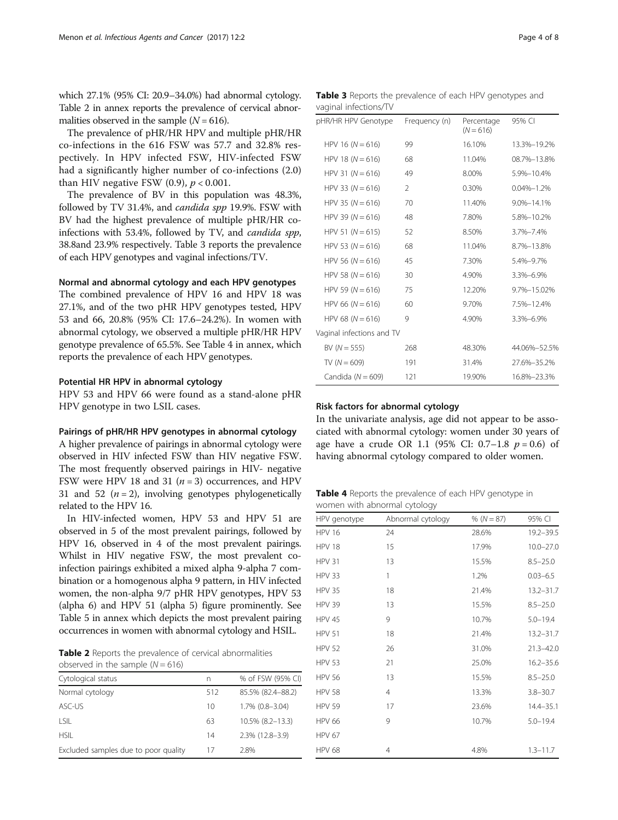which 27.1% (95% CI: 20.9–34.0%) had abnormal cytology. Table 2 in annex reports the prevalence of cervical abnormalities observed in the sample  $(N = 616)$ .

The prevalence of pHR/HR HPV and multiple pHR/HR co-infections in the 616 FSW was 57.7 and 32.8% respectively. In HPV infected FSW, HIV-infected FSW had a significantly higher number of co-infections (2.0) than HIV negative FSW  $(0.9)$ ,  $p < 0.001$ .

The prevalence of BV in this population was 48.3%, followed by TV 31.4%, and *candida spp* 19.9%. FSW with BV had the highest prevalence of multiple pHR/HR coinfections with 53.4%, followed by TV, and candida spp, 38.8and 23.9% respectively. Table 3 reports the prevalence of each HPV genotypes and vaginal infections/TV.

# Normal and abnormal cytology and each HPV genotypes

The combined prevalence of HPV 16 and HPV 18 was 27.1%, and of the two pHR HPV genotypes tested, HPV 53 and 66, 20.8% (95% CI: 17.6–24.2%). In women with abnormal cytology, we observed a multiple pHR/HR HPV genotype prevalence of 65.5%. See Table 4 in annex, which reports the prevalence of each HPV genotypes.

# Potential HR HPV in abnormal cytology

HPV 53 and HPV 66 were found as a stand-alone pHR HPV genotype in two LSIL cases.

# Pairings of pHR/HR HPV genotypes in abnormal cytology

A higher prevalence of pairings in abnormal cytology were observed in HIV infected FSW than HIV negative FSW. The most frequently observed pairings in HIV- negative FSW were HPV 18 and 31 ( $n = 3$ ) occurrences, and HPV 31 and 52  $(n = 2)$ , involving genotypes phylogenetically related to the HPV 16.

In HIV-infected women, HPV 53 and HPV 51 are observed in 5 of the most prevalent pairings, followed by HPV 16, observed in 4 of the most prevalent pairings. Whilst in HIV negative FSW, the most prevalent coinfection pairings exhibited a mixed alpha 9-alpha 7 combination or a homogenous alpha 9 pattern, in HIV infected women, the non-alpha 9/7 pHR HPV genotypes, HPV 53 (alpha 6) and HPV 51 (alpha 5) figure prominently. See Table [5](#page-4-0) in annex which depicts the most prevalent pairing occurrences in women with abnormal cytology and HSIL.

Table 2 Reports the prevalence of cervical abnormalities observed in the sample  $(N = 616)$ 

| Cytological status                   | n   | % of FSW (95% CI) |
|--------------------------------------|-----|-------------------|
| Normal cytology                      | 512 | 85.5% (82.4-88.2) |
| ASC-US                               | 10  | 1.7% (0.8-3.04)   |
| I SIL                                | 63  | 10.5% (8.2-13.3)  |
| <b>HSIL</b>                          | 14  | 2.3% (12.8-3.9)   |
| Excluded samples due to poor quality | 17  | 2.8%              |

Table 3 Reports the prevalence of each HPV genotypes and vaginal infections/TV

| pHR/HR HPV Genotype       | Frequency (n) | Percentage<br>$(N = 616)$ | 95% CI           |
|---------------------------|---------------|---------------------------|------------------|
| HPV 16 $(N = 616)$        | 99            | 16.10%                    | 13.3%-19.2%      |
| HPV 18 ( $N = 616$ )      | 68            | 11.04%                    | 08.7%-13.8%      |
| HPV 31 $(N = 616)$        | 49            | 8.00%                     | 5.9%-10.4%       |
| HPV 33 ( $N = 616$ )      | $\mathcal{P}$ | 0.30%                     | $0.04\% - 1.2\%$ |
| HPV 35 ( $N = 616$ )      | 70            | 11.40%                    | $9.0\% - 14.1\%$ |
| HPV 39 ( $N = 616$ )      | 48            | 7.80%                     | 5.8%-10.2%       |
| HPV 51 ( $N = 615$ )      | 52            | 8.50%                     | 3.7%-7.4%        |
| HPV 53 ( $N = 616$ )      | 68            | 11.04%                    | 8.7%-13.8%       |
| HPV 56 ( $N = 616$ )      | 45            | 7.30%                     | 5.4%-9.7%        |
| HPV 58 ( $N = 616$ )      | 30            | 4.90%                     | 3.3%-6.9%        |
| HPV 59 ( $N = 616$ )      | 75            | 12.20%                    | 9.7%-15.02%      |
| HPV 66 ( $N = 616$ )      | 60            | 9.70%                     | 7.5%-12.4%       |
| HPV 68 ( $N = 616$ )      | 9             | 4.90%                     | 3.3%-6.9%        |
| Vaginal infections and TV |               |                           |                  |
| BV $(N = 555)$            | 268           | 48.30%                    | 44.06%-52.5%     |
| TV $(N = 609)$            | 191           | 31.4%                     | 27.6%-35.2%      |
| Candida ( $N = 609$ )     | 121           | 19.90%                    | 16.8%-23.3%      |

# Risk factors for abnormal cytology

In the univariate analysis, age did not appear to be associated with abnormal cytology: women under 30 years of age have a crude OR 1.1 (95% CI: 0.7–1.8  $p = 0.6$ ) of having abnormal cytology compared to older women.

Table 4 Reports the prevalence of each HPV genotype in women with abnormal cytology

| HPV genotype  | Abnormal cytology | % $(N = 87)$ | 95% CI        |
|---------------|-------------------|--------------|---------------|
| <b>HPV 16</b> | 24                | 28.6%        | $19.2 - 39.5$ |
| <b>HPV 18</b> | 15                | 17.9%        | $10.0 - 27.0$ |
| <b>HPV 31</b> | 13                | 15.5%        | $8.5 - 25.0$  |
| <b>HPV 33</b> | 1                 | 1.2%         | $0.03 - 6.5$  |
| <b>HPV 35</b> | 18                | 21.4%        | $13.2 - 31.7$ |
| <b>HPV 39</b> | 13                | 15.5%        | $8.5 - 25.0$  |
| <b>HPV 45</b> | 9                 | 10.7%        | $5.0 - 19.4$  |
| <b>HPV 51</b> | 18                | 21.4%        | $13.2 - 31.7$ |
| <b>HPV 52</b> | 26                | 31.0%        | $21.3 - 42.0$ |
| <b>HPV 53</b> | 21                | 25.0%        | $16.2 - 35.6$ |
| <b>HPV 56</b> | 13                | 15.5%        | $8.5 - 25.0$  |
| <b>HPV 58</b> | $\overline{4}$    | 13.3%        | $3.8 - 30.7$  |
| <b>HPV 59</b> | 17                | 23.6%        | $14.4 - 35.1$ |
| <b>HPV 66</b> | 9                 | 10.7%        | $5.0 - 19.4$  |
| <b>HPV 67</b> |                   |              |               |
| <b>HPV 68</b> | 4                 | 4.8%         | $1.3 - 11.7$  |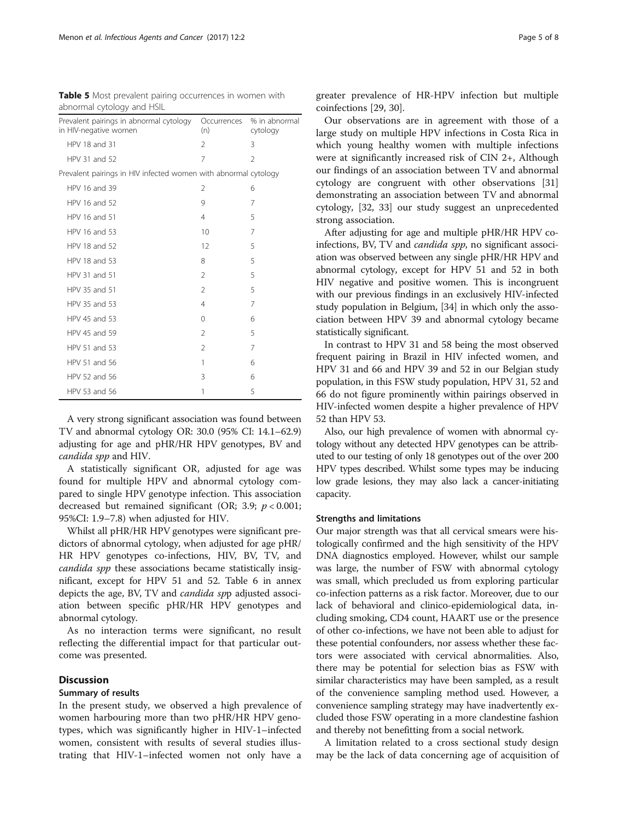| adhormal cytology and HSIL                                       |                    |                           |
|------------------------------------------------------------------|--------------------|---------------------------|
| Prevalent pairings in abnormal cytology<br>in HIV-negative women | Occurrences<br>(n) | % in abnormal<br>cytology |
| HPV 18 and 31                                                    | $\mathfrak{D}$     | 3                         |
| HPV 31 and 52                                                    | 7                  | $\mathfrak{D}$            |
| Prevalent pairings in HIV infected women with abnormal cytology  |                    |                           |
| HPV 16 and 39                                                    | 2                  | 6                         |
| HPV 16 and 52                                                    | 9                  | 7                         |
| HPV 16 and 51                                                    | $\overline{4}$     | 5                         |
| HPV 16 and 53                                                    | 10                 | 7                         |
| HPV 18 and 52                                                    | 12                 | 5                         |
| HPV 18 and 53                                                    | 8                  | 5                         |
| HPV 31 and 51                                                    | $\mathfrak{D}$     | 5                         |
| HPV 35 and 51                                                    | 2                  | 5                         |
| HPV 35 and 53                                                    | 4                  | 7                         |
| HPV 45 and 53                                                    | $\Omega$           | 6                         |
| HPV 45 and 59                                                    | 2                  | 5                         |
| HPV 51 and 53                                                    | 2                  | 7                         |
| HPV 51 and 56                                                    | 1                  | 6                         |
| HPV 52 and 56                                                    | 3                  | 6                         |
| HPV 53 and 56                                                    | 1                  | 5                         |

<span id="page-4-0"></span>Table 5 Most prevalent pairing occurrences in women with abnormal cytology and HSIL

A very strong significant association was found between TV and abnormal cytology OR: 30.0 (95% CI: 14.1–62.9) adjusting for age and pHR/HR HPV genotypes, BV and candida spp and HIV.

A statistically significant OR, adjusted for age was found for multiple HPV and abnormal cytology compared to single HPV genotype infection. This association decreased but remained significant (OR; 3.9;  $p < 0.001$ ; 95%CI: 1.9–7.8) when adjusted for HIV.

Whilst all pHR/HR HPV genotypes were significant predictors of abnormal cytology, when adjusted for age pHR/ HR HPV genotypes co-infections, HIV, BV, TV, and candida spp these associations became statistically insignificant, except for HPV 51 and 52. Table [6](#page-5-0) in annex depicts the age, BV, TV and *candida sp*p adjusted association between specific pHR/HR HPV genotypes and abnormal cytology.

As no interaction terms were significant, no result reflecting the differential impact for that particular outcome was presented.

# **Discussion**

## Summary of results

In the present study, we observed a high prevalence of women harbouring more than two pHR/HR HPV genotypes, which was significantly higher in HIV-1–infected women, consistent with results of several studies illustrating that HIV-1–infected women not only have a

greater prevalence of HR-HPV infection but multiple coinfections [\[29, 30\]](#page-7-0).

Our observations are in agreement with those of a large study on multiple HPV infections in Costa Rica in which young healthy women with multiple infections were at significantly increased risk of CIN 2+, Although our findings of an association between TV and abnormal cytology are congruent with other observations [[31](#page-7-0)] demonstrating an association between TV and abnormal cytology, [[32](#page-7-0), [33](#page-7-0)] our study suggest an unprecedented strong association.

After adjusting for age and multiple pHR/HR HPV coinfections, BV, TV and *candida spp*, no significant association was observed between any single pHR/HR HPV and abnormal cytology, except for HPV 51 and 52 in both HIV negative and positive women. This is incongruent with our previous findings in an exclusively HIV-infected study population in Belgium, [\[34\]](#page-7-0) in which only the association between HPV 39 and abnormal cytology became statistically significant.

In contrast to HPV 31 and 58 being the most observed frequent pairing in Brazil in HIV infected women, and HPV 31 and 66 and HPV 39 and 52 in our Belgian study population, in this FSW study population, HPV 31, 52 and 66 do not figure prominently within pairings observed in HIV-infected women despite a higher prevalence of HPV 52 than HPV 53.

Also, our high prevalence of women with abnormal cytology without any detected HPV genotypes can be attributed to our testing of only 18 genotypes out of the over 200 HPV types described. Whilst some types may be inducing low grade lesions, they may also lack a cancer-initiating capacity.

# Strengths and limitations

Our major strength was that all cervical smears were histologically confirmed and the high sensitivity of the HPV DNA diagnostics employed. However, whilst our sample was large, the number of FSW with abnormal cytology was small, which precluded us from exploring particular co-infection patterns as a risk factor. Moreover, due to our lack of behavioral and clinico-epidemiological data, including smoking, CD4 count, HAART use or the presence of other co-infections, we have not been able to adjust for these potential confounders, nor assess whether these factors were associated with cervical abnormalities. Also, there may be potential for selection bias as FSW with similar characteristics may have been sampled, as a result of the convenience sampling method used. However, a convenience sampling strategy may have inadvertently excluded those FSW operating in a more clandestine fashion and thereby not benefitting from a social network.

A limitation related to a cross sectional study design may be the lack of data concerning age of acquisition of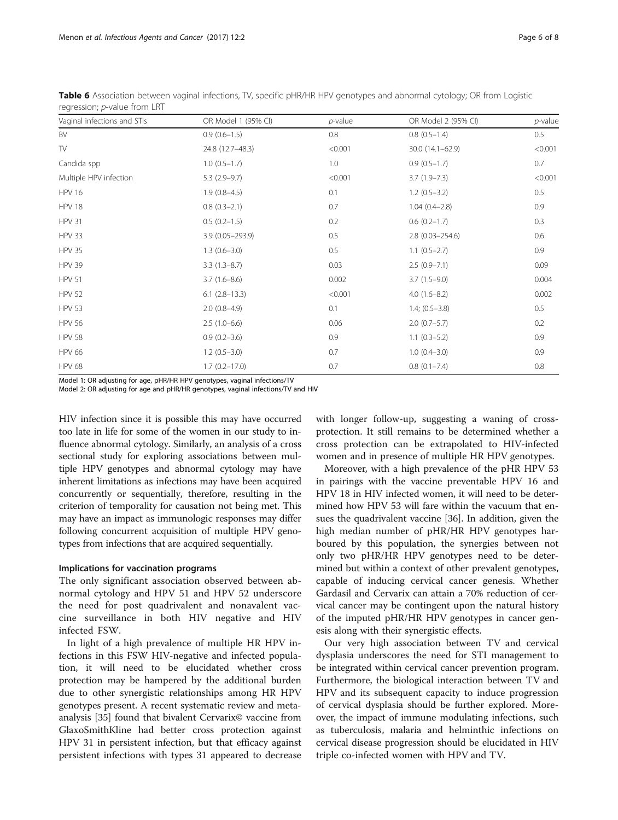| Vaginal infections and STIs | OR Model 1 (95% CI) | $p$ -value | OR Model 2 (95% CI) | $p$ -value |
|-----------------------------|---------------------|------------|---------------------|------------|
| BV                          | $0.9(0.6-1.5)$      | 0.8        | $0.8$ $(0.5-1.4)$   | $0.5\,$    |
| TV                          | 24.8 (12.7-48.3)    | < 0.001    | 30.0 (14.1-62.9)    | < 0.001    |
| Candida spp                 | $1.0(0.5-1.7)$      | 1.0        | $0.9(0.5-1.7)$      | 0.7        |
| Multiple HPV infection      | $5.3(2.9-9.7)$      | < 0.001    | $3.7(1.9 - 7.3)$    | < 0.001    |
| <b>HPV 16</b>               | $1.9(0.8-4.5)$      | 0.1        | $1.2(0.5-3.2)$      | 0.5        |
| <b>HPV 18</b>               | $0.8(0.3-2.1)$      | 0.7        | $1.04(0.4-2.8)$     | 0.9        |
| <b>HPV 31</b>               | $0.5(0.2-1.5)$      | 0.2        | $0.6(0.2-1.7)$      | 0.3        |
| <b>HPV 33</b>               | 3.9 (0.05-293.9)    | 0.5        | $2.8(0.03 - 254.6)$ | 0.6        |
| <b>HPV 35</b>               | $1.3(0.6 - 3.0)$    | 0.5        | $1.1(0.5-2.7)$      | 0.9        |
| <b>HPV 39</b>               | $3.3(1.3-8.7)$      | 0.03       | $2.5(0.9 - 7.1)$    | 0.09       |
| <b>HPV 51</b>               | $3.7(1.6-8.6)$      | 0.002      | $3.7(1.5-9.0)$      | 0.004      |
| <b>HPV 52</b>               | $6.1$ $(2.8-13.3)$  | < 0.001    | $4.0(1.6 - 8.2)$    | 0.002      |
| <b>HPV 53</b>               | $2.0(0.8-4.9)$      | 0.1        | $1.4; (0.5-3.8)$    | 0.5        |
| <b>HPV 56</b>               | $2.5(1.0-6.6)$      | 0.06       | $2.0(0.7-5.7)$      | 0.2        |
| <b>HPV 58</b>               | $0.9(0.2 - 3.6)$    | 0.9        | $1.1(0.3-5.2)$      | 0.9        |
| <b>HPV 66</b>               | $1.2(0.5-3.0)$      | 0.7        | $1.0(0.4 - 3.0)$    | 0.9        |
| <b>HPV 68</b>               | $1.7(0.2 - 17.0)$   | 0.7        | $0.8$ $(0.1 - 7.4)$ | 0.8        |

<span id="page-5-0"></span>Table 6 Association between vaginal infections, TV, specific pHR/HR HPV genotypes and abnormal cytology; OR from Logistic regression; *p*-value from LRT

Model 1: OR adjusting for age, pHR/HR HPV genotypes, vaginal infections/TV

Model 2: OR adjusting for age and pHR/HR genotypes, vaginal infections/TV and HIV

HIV infection since it is possible this may have occurred too late in life for some of the women in our study to influence abnormal cytology. Similarly, an analysis of a cross sectional study for exploring associations between multiple HPV genotypes and abnormal cytology may have inherent limitations as infections may have been acquired concurrently or sequentially, therefore, resulting in the criterion of temporality for causation not being met. This may have an impact as immunologic responses may differ following concurrent acquisition of multiple HPV genotypes from infections that are acquired sequentially.

# Implications for vaccination programs

The only significant association observed between abnormal cytology and HPV 51 and HPV 52 underscore the need for post quadrivalent and nonavalent vaccine surveillance in both HIV negative and HIV infected FSW.

In light of a high prevalence of multiple HR HPV infections in this FSW HIV-negative and infected population, it will need to be elucidated whether cross protection may be hampered by the additional burden due to other synergistic relationships among HR HPV genotypes present. A recent systematic review and metaanalysis [\[35](#page-7-0)] found that bivalent Cervarix© vaccine from GlaxoSmithKline had better cross protection against HPV 31 in persistent infection, but that efficacy against persistent infections with types 31 appeared to decrease with longer follow-up, suggesting a waning of crossprotection. It still remains to be determined whether a cross protection can be extrapolated to HIV-infected women and in presence of multiple HR HPV genotypes.

Moreover, with a high prevalence of the pHR HPV 53 in pairings with the vaccine preventable HPV 16 and HPV 18 in HIV infected women, it will need to be determined how HPV 53 will fare within the vacuum that ensues the quadrivalent vaccine [[36\]](#page-7-0). In addition, given the high median number of pHR/HR HPV genotypes harboured by this population, the synergies between not only two pHR/HR HPV genotypes need to be determined but within a context of other prevalent genotypes, capable of inducing cervical cancer genesis. Whether Gardasil and Cervarix can attain a 70% reduction of cervical cancer may be contingent upon the natural history of the imputed pHR/HR HPV genotypes in cancer genesis along with their synergistic effects.

Our very high association between TV and cervical dysplasia underscores the need for STI management to be integrated within cervical cancer prevention program. Furthermore, the biological interaction between TV and HPV and its subsequent capacity to induce progression of cervical dysplasia should be further explored. Moreover, the impact of immune modulating infections, such as tuberculosis, malaria and helminthic infections on cervical disease progression should be elucidated in HIV triple co-infected women with HPV and TV.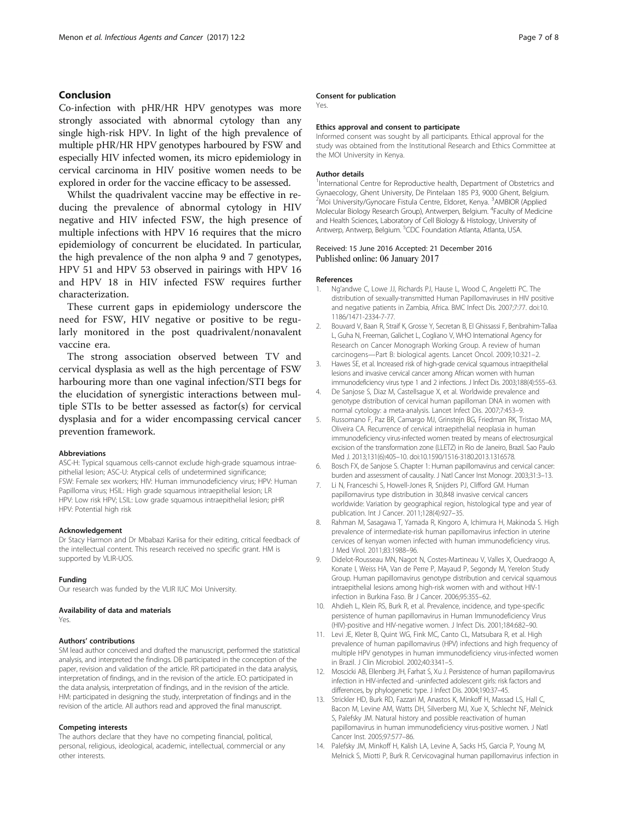# <span id="page-6-0"></span>Conclusion

Co-infection with pHR/HR HPV genotypes was more strongly associated with abnormal cytology than any single high-risk HPV. In light of the high prevalence of multiple pHR/HR HPV genotypes harboured by FSW and especially HIV infected women, its micro epidemiology in cervical carcinoma in HIV positive women needs to be explored in order for the vaccine efficacy to be assessed.

Whilst the quadrivalent vaccine may be effective in reducing the prevalence of abnormal cytology in HIV negative and HIV infected FSW, the high presence of multiple infections with HPV 16 requires that the micro epidemiology of concurrent be elucidated. In particular, the high prevalence of the non alpha 9 and 7 genotypes, HPV 51 and HPV 53 observed in pairings with HPV 16 and HPV 18 in HIV infected FSW requires further characterization.

These current gaps in epidemiology underscore the need for FSW, HIV negative or positive to be regularly monitored in the post quadrivalent/nonavalent vaccine era.

The strong association observed between TV and cervical dysplasia as well as the high percentage of FSW harbouring more than one vaginal infection/STI begs for the elucidation of synergistic interactions between multiple STIs to be better assessed as factor(s) for cervical dysplasia and for a wider encompassing cervical cancer prevention framework.

#### Abbreviations

ASC-H: Typical squamous cells-cannot exclude high-grade squamous intraepithelial lesion; ASC-U: Atypical cells of undetermined significance; FSW: Female sex workers; HIV: Human immunodeficiency virus; HPV: Human Papilloma virus; HSIL: High grade squamous intraepithelial lesion; LR HPV: Low risk HPV; LSIL: Low grade squamous intraepithelial lesion; pHR HPV: Potential high risk

# Acknowledgement

Dr Stacy Harmon and Dr Mbabazi Kariisa for their editing, critical feedback of the intellectual content. This research received no specific grant. HM is supported by VLIR-UOS.

#### Funding

Our research was funded by the VLIR IUC Moi University.

#### Availability of data and materials

Yes.

#### Authors' contributions

SM lead author conceived and drafted the manuscript, performed the statistical analysis, and interpreted the findings. DB participated in the conception of the paper, revision and validation of the article. RR participated in the data analysis, interpretation of findings, and in the revision of the article. EO: participated in the data analysis, interpretation of findings, and in the revision of the article. HM: participated in designing the study, interpretation of findings and in the revision of the article. All authors read and approved the final manuscript.

## Competing interests

The authors declare that they have no competing financial, political, personal, religious, ideological, academic, intellectual, commercial or any other interests.

## Consent for publication

Yes.

#### Ethics approval and consent to participate

Informed consent was sought by all participants. Ethical approval for the study was obtained from the Institutional Research and Ethics Committee at the MOI University in Kenya.

#### Author details

<sup>1</sup>International Centre for Reproductive health, Department of Obstetrics and Gynaecology, Ghent University, De Pintelaan 185 P3, 9000 Ghent, Belgium. <sup>2</sup>Moi University/Gynocare Fistula Centre, Eldoret, Kenya. <sup>3</sup>AMBIOR (Applied Molecular Biology Research Group), Antwerpen, Belgium. <sup>4</sup>Faculty of Medicine and Health Sciences, Laboratory of Cell Biology & Histology, University of Antwerp, Antwerp, Belgium. <sup>5</sup>CDC Foundation Atlanta, Atlanta, USA

# Received: 15 June 2016 Accepted: 21 December 2016 Published online: 06 January 2017

#### References

- 1. Ng'andwe C, Lowe JJ, Richards PJ, Hause L, Wood C, Angeletti PC. The distribution of sexually-transmitted Human Papillomaviruses in HIV positive and negative patients in Zambia, Africa. BMC Infect Dis. 2007;7:77. doi[:10.](http://dx.doi.org/10.1186/1471-2334-7-77) [1186/1471-2334-7-77.](http://dx.doi.org/10.1186/1471-2334-7-77)
- 2. Bouvard V, Baan R, Straif K, Grosse Y, Secretan B, El Ghissassi F, Benbrahim-Tallaa L, Guha N, Freeman, Galichet L, Cogliano V, WHO International Agency for Research on Cancer Monograph Working Group. A review of human carcinogens—Part B: biological agents. Lancet Oncol. 2009;10:321–2.
- 3. Hawes SE, et al. Increased risk of high-grade cervical squamous intraepithelial lesions and invasive cervical cancer among African women with human immunodeficiency virus type 1 and 2 infections. J Infect Dis. 2003;188(4):555–63.
- 4. De Sanjose S, Diaz M, Castellsague X, et al. Worldwide prevalence and genotype distribution of cervical human papilloman DNA in women with normal cytology: a meta-analysis. Lancet Infect Dis. 2007;7:453–9.
- 5. Russomano F, Paz BR, Camargo MJ, Grinstejn BG, Friedman RK, Tristao MA, Oliveira CA. Recurrence of cervical intraepithelial neoplasia in human immunodeficiency virus-infected women treated by means of electrosurgical excision of the transformation zone (LLETZ) in Rio de Janeiro, Brazil. Sao Paulo Med J. 2013;131(6):405–10. doi:[10.1590/1516-3180.2013.1316578.](http://dx.doi.org/10.1590/1516-3180.2013.1316578)
- 6. Bosch FX, de Sanjose S. Chapter 1: Human papillomavirus and cervical cancer: burden and assessment of causality. J Natl Cancer Inst Monogr. 2003;31:3–13.
- 7. Li N, Franceschi S, Howell-Jones R, Snijders PJ, Clifford GM. Human papillomavirus type distribution in 30,848 invasive cervical cancers worldwide: Variation by geographical region, histological type and year of publication. Int J Cancer. 2011;128(4):927–35.
- 8. Rahman M, Sasagawa T, Yamada R, Kingoro A, Ichimura H, Makinoda S. High prevalence of intermediate-risk human papillomavirus infection in uterine cervices of kenyan women infected with human immunodeficiency virus. J Med Virol. 2011;83:1988–96.
- 9. Didelot-Rousseau MN, Nagot N, Costes-Martineau V, Valles X, Ouedraogo A, Konate I, Weiss HA, Van de Perre P, Mayaud P, Segondy M, Yerelon Study Group. Human papillomavirus genotype distribution and cervical squamous intraepithelial lesions among high-risk women with and without HIV-1 infection in Burkina Faso. Br J Cancer. 2006;95:355–62.
- 10. Ahdieh L, Klein RS, Burk R, et al. Prevalence, incidence, and type-specific persistence of human papillomavirus in Human Immunodeficiency Virus (HIV)-positive and HIV-negative women. J Infect Dis. 2001;184:682–90.
- 11. Levi JE, Kleter B, Quint WG, Fink MC, Canto CL, Matsubara R, et al. High prevalence of human papillomavirus (HPV) infections and high frequency of multiple HPV genotypes in human immunodeficiency virus-infected women in Brazil. J Clin Microbiol. 2002;40:3341–5.
- 12. Moscicki AB, Ellenberg JH, Farhat S, Xu J. Persistence of human papillomavirus infection in HIV-infected and -uninfected adolescent girls: risk factors and differences, by phylogenetic type. J Infect Dis. 2004;190:37–45.
- 13. Strickler HD, Burk RD, Fazzari M, Anastos K, Minkoff H, Massad LS, Hall C, Bacon M, Levine AM, Watts DH, Silverberg MJ, Xue X, Schlecht NF, Melnick S, Palefsky JM. Natural history and possible reactivation of human papillomavirus in human immunodeficiency virus-positive women. J Natl Cancer Inst. 2005;97:577–86.
- 14. Palefsky JM, Minkoff H, Kalish LA, Levine A, Sacks HS, Garcia P, Young M, Melnick S, Miotti P, Burk R. Cervicovaginal human papillomavirus infection in